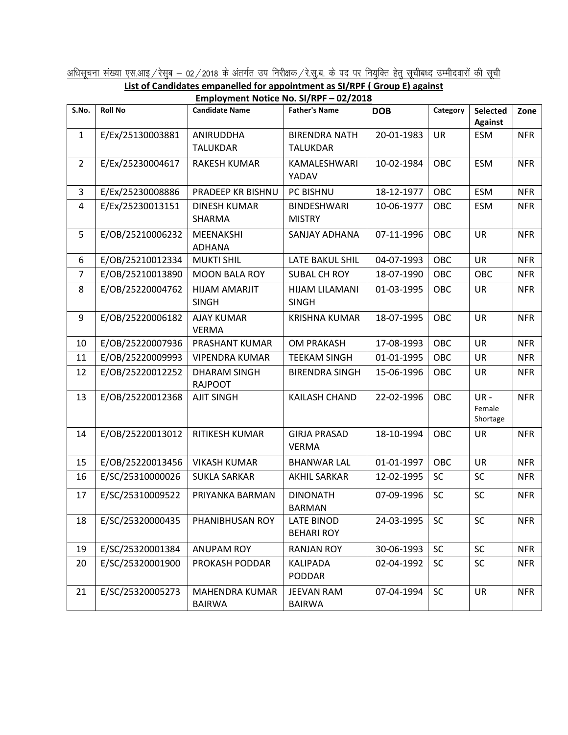<u>अधिसूचना संख्या एस.आइ / रेसुब – 02 / 2018 के अंतर्गत उप निरीक्षक / रे.सु.ब. के पद पर नियुक्ति हेतु सूचीबध्द उम्मीदवारों की सूची<br>List of Candidates empanelled for appointment as SI/RPF ( Group E) against</u>

|--|

| Employment Notice No. SI/RPF - 02/2018 |                  |                       |                       |            |            |                    |            |  |  |  |  |
|----------------------------------------|------------------|-----------------------|-----------------------|------------|------------|--------------------|------------|--|--|--|--|
| S.No.                                  | <b>Roll No</b>   | <b>Candidate Name</b> | <b>Father's Name</b>  | <b>DOB</b> | Category   | Selected           | Zone       |  |  |  |  |
|                                        |                  |                       |                       |            |            | <b>Against</b>     |            |  |  |  |  |
| 1                                      | E/Ex/25130003881 | ANIRUDDHA             | <b>BIRENDRA NATH</b>  | 20-01-1983 | <b>UR</b>  | <b>ESM</b>         | <b>NFR</b> |  |  |  |  |
|                                        |                  | <b>TALUKDAR</b>       | <b>TALUKDAR</b>       |            |            |                    |            |  |  |  |  |
| $\overline{2}$                         | E/Ex/25230004617 | <b>RAKESH KUMAR</b>   | KAMALESHWARI          | 10-02-1984 | OBC        | <b>ESM</b>         | <b>NFR</b> |  |  |  |  |
|                                        |                  |                       | YADAV                 |            |            |                    |            |  |  |  |  |
| 3                                      | E/Ex/25230008886 | PRADEEP KR BISHNU     | PC BISHNU             | 18-12-1977 | OBC        | <b>ESM</b>         | <b>NFR</b> |  |  |  |  |
| 4                                      | E/Ex/25230013151 | DINESH KUMAR          | <b>BINDESHWARI</b>    | 10-06-1977 | OBC        | <b>ESM</b>         | <b>NFR</b> |  |  |  |  |
|                                        |                  | SHARMA                | <b>MISTRY</b>         |            |            |                    |            |  |  |  |  |
| 5                                      | E/OB/25210006232 | MEENAKSHI             | SANJAY ADHANA         | 07-11-1996 | OBC        | <b>UR</b>          | <b>NFR</b> |  |  |  |  |
|                                        |                  | <b>ADHANA</b>         |                       |            |            |                    |            |  |  |  |  |
| 6                                      | E/OB/25210012334 | <b>MUKTI SHIL</b>     | LATE BAKUL SHIL       | 04-07-1993 | OBC        | <b>UR</b>          | <b>NFR</b> |  |  |  |  |
| $\overline{7}$                         | E/OB/25210013890 | <b>MOON BALA ROY</b>  | <b>SUBAL CH ROY</b>   | 18-07-1990 | OBC        | OBC                | <b>NFR</b> |  |  |  |  |
| 8                                      | E/OB/25220004762 | HIJAM AMARJIT         | <b>HIJAM LILAMANI</b> | 01-03-1995 | OBC        | <b>UR</b>          | <b>NFR</b> |  |  |  |  |
|                                        |                  | <b>SINGH</b>          | <b>SINGH</b>          |            |            |                    |            |  |  |  |  |
| 9                                      | E/OB/25220006182 | <b>AJAY KUMAR</b>     | <b>KRISHNA KUMAR</b>  | 18-07-1995 | OBC        | <b>UR</b>          | <b>NFR</b> |  |  |  |  |
|                                        |                  | <b>VERMA</b>          |                       |            |            |                    |            |  |  |  |  |
| 10                                     | E/OB/25220007936 | PRASHANT KUMAR        | <b>OM PRAKASH</b>     | 17-08-1993 | <b>OBC</b> | <b>UR</b>          | <b>NFR</b> |  |  |  |  |
| 11                                     | E/OB/25220009993 | <b>VIPENDRA KUMAR</b> | <b>TEEKAM SINGH</b>   | 01-01-1995 | OBC        | <b>UR</b>          | <b>NFR</b> |  |  |  |  |
| 12                                     | E/OB/25220012252 | <b>DHARAM SINGH</b>   | <b>BIRENDRA SINGH</b> | 15-06-1996 | OBC        | <b>UR</b>          | <b>NFR</b> |  |  |  |  |
|                                        |                  | <b>RAJPOOT</b>        |                       |            |            |                    |            |  |  |  |  |
| 13                                     | E/OB/25220012368 | <b>AJIT SINGH</b>     | KAILASH CHAND         | 22-02-1996 | OBC        | UR-                | <b>NFR</b> |  |  |  |  |
|                                        |                  |                       |                       |            |            | Female<br>Shortage |            |  |  |  |  |
| 14                                     | E/OB/25220013012 | RITIKESH KUMAR        | <b>GIRJA PRASAD</b>   | 18-10-1994 | OBC        | <b>UR</b>          | <b>NFR</b> |  |  |  |  |
|                                        |                  |                       | <b>VERMA</b>          |            |            |                    |            |  |  |  |  |
| 15                                     | E/OB/25220013456 | <b>VIKASH KUMAR</b>   | <b>BHANWAR LAL</b>    | 01-01-1997 | OBC        | <b>UR</b>          | <b>NFR</b> |  |  |  |  |
|                                        |                  |                       |                       |            |            |                    |            |  |  |  |  |
| 16                                     | E/SC/25310000026 | <b>SUKLA SARKAR</b>   | <b>AKHIL SARKAR</b>   | 12-02-1995 | <b>SC</b>  | <b>SC</b>          | <b>NFR</b> |  |  |  |  |
| 17                                     | E/SC/25310009522 | PRIYANKA BARMAN       | <b>DINONATH</b>       | 07-09-1996 | SC         | <b>SC</b>          | <b>NFR</b> |  |  |  |  |
|                                        |                  |                       | <b>BARMAN</b>         |            |            |                    |            |  |  |  |  |
| 18                                     | E/SC/25320000435 | PHANIBHUSAN ROY       | <b>LATE BINOD</b>     | 24-03-1995 | <b>SC</b>  | SC                 | <b>NFR</b> |  |  |  |  |
|                                        |                  |                       | <b>BEHARI ROY</b>     |            |            |                    |            |  |  |  |  |
| 19                                     | E/SC/25320001384 | <b>ANUPAM ROY</b>     | <b>RANJAN ROY</b>     | 30-06-1993 | <b>SC</b>  | <b>SC</b>          | <b>NFR</b> |  |  |  |  |
| 20                                     | E/SC/25320001900 | PROKASH PODDAR        | KALIPADA              | 02-04-1992 | <b>SC</b>  | SC                 | <b>NFR</b> |  |  |  |  |
|                                        |                  |                       | PODDAR                |            |            |                    |            |  |  |  |  |
| 21                                     | E/SC/25320005273 | MAHENDRA KUMAR        | <b>JEEVAN RAM</b>     | 07-04-1994 | <b>SC</b>  | <b>UR</b>          | <b>NFR</b> |  |  |  |  |
|                                        |                  | <b>BAIRWA</b>         | <b>BAIRWA</b>         |            |            |                    |            |  |  |  |  |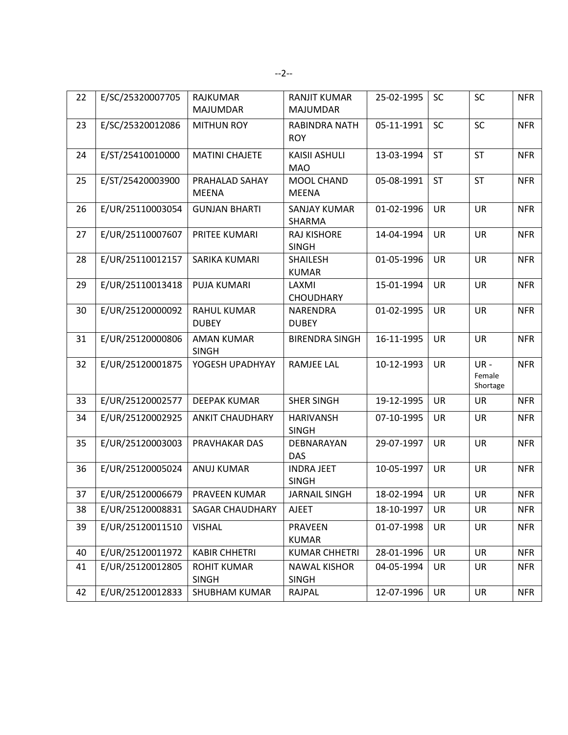| 22 | E/SC/25320007705 | <b>RAJKUMAR</b><br><b>MAJUMDAR</b> | <b>RANJIT KUMAR</b><br><b>MAJUMDAR</b> | 25-02-1995 | <b>SC</b> | SC                        | <b>NFR</b> |
|----|------------------|------------------------------------|----------------------------------------|------------|-----------|---------------------------|------------|
| 23 | E/SC/25320012086 | <b>MITHUN ROY</b>                  | <b>RABINDRA NATH</b><br><b>ROY</b>     | 05-11-1991 | SC        | SC                        | <b>NFR</b> |
| 24 | E/ST/25410010000 | <b>MATINI CHAJETE</b>              | <b>KAISII ASHULI</b><br><b>MAO</b>     | 13-03-1994 | <b>ST</b> | <b>ST</b>                 | <b>NFR</b> |
| 25 | E/ST/25420003900 | PRAHALAD SAHAY<br><b>MEENA</b>     | MOOL CHAND<br><b>MEENA</b>             | 05-08-1991 | <b>ST</b> | <b>ST</b>                 | <b>NFR</b> |
| 26 | E/UR/25110003054 | <b>GUNJAN BHARTI</b>               | <b>SANJAY KUMAR</b><br>SHARMA          | 01-02-1996 | <b>UR</b> | <b>UR</b>                 | <b>NFR</b> |
| 27 | E/UR/25110007607 | PRITEE KUMARI                      | <b>RAJ KISHORE</b><br><b>SINGH</b>     | 14-04-1994 | <b>UR</b> | <b>UR</b>                 | <b>NFR</b> |
| 28 | E/UR/25110012157 | SARIKA KUMARI                      | <b>SHAILESH</b><br><b>KUMAR</b>        | 01-05-1996 | <b>UR</b> | <b>UR</b>                 | <b>NFR</b> |
| 29 | E/UR/25110013418 | PUJA KUMARI                        | LAXMI<br><b>CHOUDHARY</b>              | 15-01-1994 | <b>UR</b> | UR                        | <b>NFR</b> |
| 30 | E/UR/25120000092 | <b>RAHUL KUMAR</b><br><b>DUBEY</b> | NARENDRA<br><b>DUBEY</b>               | 01-02-1995 | <b>UR</b> | <b>UR</b>                 | <b>NFR</b> |
| 31 | E/UR/25120000806 | <b>AMAN KUMAR</b><br><b>SINGH</b>  | <b>BIRENDRA SINGH</b>                  | 16-11-1995 | <b>UR</b> | <b>UR</b>                 | <b>NFR</b> |
| 32 | E/UR/25120001875 | YOGESH UPADHYAY                    | <b>RAMJEE LAL</b>                      | 10-12-1993 | <b>UR</b> | UR-<br>Female<br>Shortage | <b>NFR</b> |
| 33 | E/UR/25120002577 | <b>DEEPAK KUMAR</b>                | <b>SHER SINGH</b>                      | 19-12-1995 | <b>UR</b> | <b>UR</b>                 | <b>NFR</b> |
| 34 | E/UR/25120002925 | <b>ANKIT CHAUDHARY</b>             | <b>HARIVANSH</b><br><b>SINGH</b>       | 07-10-1995 | <b>UR</b> | <b>UR</b>                 | <b>NFR</b> |
| 35 | E/UR/25120003003 | PRAVHAKAR DAS                      | DEBNARAYAN<br><b>DAS</b>               | 29-07-1997 | <b>UR</b> | <b>UR</b>                 | <b>NFR</b> |
| 36 | E/UR/25120005024 | <b>ANUJ KUMAR</b>                  | <b>INDRA JEET</b><br><b>SINGH</b>      | 10-05-1997 | <b>UR</b> | UR                        | <b>NFR</b> |
| 37 | E/UR/25120006679 | PRAVEEN KUMAR                      | <b>JARNAIL SINGH</b>                   | 18-02-1994 | <b>UR</b> | <b>UR</b>                 | <b>NFR</b> |
| 38 | E/UR/25120008831 | SAGAR CHAUDHARY                    | <b>AJEET</b>                           | 18-10-1997 | <b>UR</b> | UR                        | <b>NFR</b> |
| 39 | E/UR/25120011510 | <b>VISHAL</b>                      | <b>PRAVEEN</b><br><b>KUMAR</b>         | 01-07-1998 | <b>UR</b> | UR                        | <b>NFR</b> |
| 40 | E/UR/25120011972 | <b>KABIR CHHETRI</b>               | <b>KUMAR CHHETRI</b>                   | 28-01-1996 | UR        | UR                        | <b>NFR</b> |
| 41 | E/UR/25120012805 | <b>ROHIT KUMAR</b><br><b>SINGH</b> | <b>NAWAL KISHOR</b><br><b>SINGH</b>    | 04-05-1994 | UR        | UR                        | <b>NFR</b> |
| 42 | E/UR/25120012833 | SHUBHAM KUMAR                      | <b>RAJPAL</b>                          | 12-07-1996 | <b>UR</b> | UR                        | <b>NFR</b> |